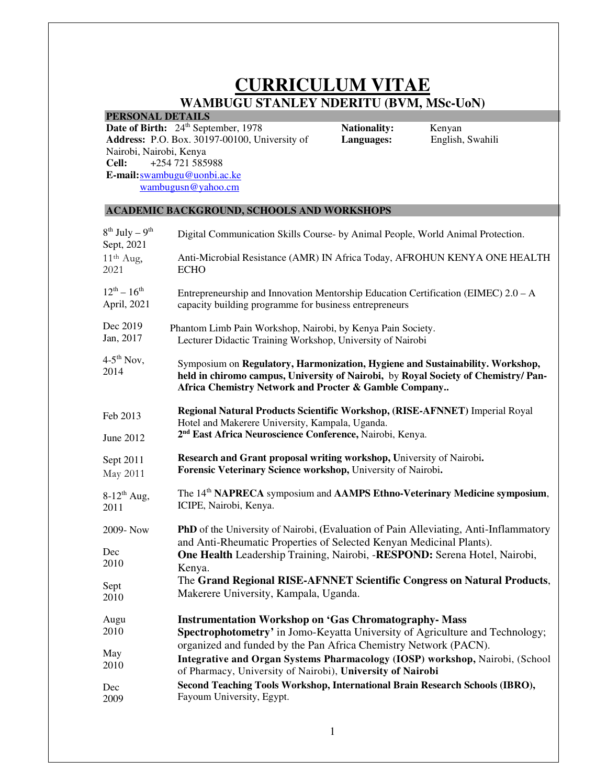# **CURRICULUM VITAE WAMBUGU STANLEY NDERITU (BVM, MSc-UoN)**

**PERSONAL DETAILS** 

**Date of Birth:** 24<sup>th</sup> September, 1978 **Address:** P.O. Box. 30197-00100, University of Nairobi, Nairobi, Kenya<br>Cell: +254 721 5859 **Cell:** +254 721 585988 **E-mail:**swambugu@uonbi.ac.ke wambugusn@yahoo.cm

**Nationality:** Kenyan<br>**Languages:** English,

**Languages:** English, Swahili

## **ACADEMIC BACKGROUND, SCHOOLS AND WORKSHOPS**

| $8^{th}$ July – $9^{th}$<br>Sept, 2021 | Digital Communication Skills Course- by Animal People, World Animal Protection.                                                                                                                                             |
|----------------------------------------|-----------------------------------------------------------------------------------------------------------------------------------------------------------------------------------------------------------------------------|
| 11 <sup>th</sup> Aug,                  | Anti-Microbial Resistance (AMR) IN Africa Today, AFROHUN KENYA ONE HEALTH                                                                                                                                                   |
| 2021                                   | <b>ECHO</b>                                                                                                                                                                                                                 |
| $12^{th} - 16^{th}$                    | Entrepreneurship and Innovation Mentorship Education Certification (EIMEC) 2.0 - A                                                                                                                                          |
| April, 2021                            | capacity building programme for business entrepreneurs                                                                                                                                                                      |
| Dec 2019                               | Phantom Limb Pain Workshop, Nairobi, by Kenya Pain Society.                                                                                                                                                                 |
| Jan, 2017                              | Lecturer Didactic Training Workshop, University of Nairobi                                                                                                                                                                  |
| $4-5$ <sup>th</sup> Nov,<br>2014       | Symposium on Regulatory, Harmonization, Hygiene and Sustainability. Workshop,<br>held in chiromo campus, University of Nairobi, by Royal Society of Chemistry/Pan-<br>Africa Chemistry Network and Procter & Gamble Company |
| Feb 2013                               | Regional Natural Products Scientific Workshop, (RISE-AFNNET) Imperial Royal<br>Hotel and Makerere University, Kampala, Uganda.                                                                                              |
| June 2012                              | 2 <sup>nd</sup> East Africa Neuroscience Conference, Nairobi, Kenya.                                                                                                                                                        |
| Sept 2011                              | Research and Grant proposal writing workshop, University of Nairobi.                                                                                                                                                        |
| May 2011                               | Forensic Veterinary Science workshop, University of Nairobi.                                                                                                                                                                |
| $8-12^{th}$ Aug,                       | The 14 <sup>th</sup> NAPRECA symposium and AAMPS Ethno-Veterinary Medicine symposium,                                                                                                                                       |
| 2011                                   | ICIPE, Nairobi, Kenya.                                                                                                                                                                                                      |
| 2009-Now                               | <b>PhD</b> of the University of Nairobi, (Evaluation of Pain Alleviating, Anti-Inflammatory<br>and Anti-Rheumatic Properties of Selected Kenyan Medicinal Plants).                                                          |
| Dec                                    | One Health Leadership Training, Nairobi, -RESPOND: Serena Hotel, Nairobi,                                                                                                                                                   |
| 2010                                   | Kenya.                                                                                                                                                                                                                      |
| Sept                                   | The Grand Regional RISE-AFNNET Scientific Congress on Natural Products,                                                                                                                                                     |
| 2010                                   | Makerere University, Kampala, Uganda.                                                                                                                                                                                       |
| Augu                                   | <b>Instrumentation Workshop on 'Gas Chromatography- Mass</b>                                                                                                                                                                |
| 2010                                   | Spectrophotometry' in Jomo-Keyatta University of Agriculture and Technology;                                                                                                                                                |
| May<br>2010                            | organized and funded by the Pan Africa Chemistry Network (PACN).<br>Integrative and Organ Systems Pharmacology (IOSP) workshop, Nairobi, (School<br>of Pharmacy, University of Nairobi), University of Nairobi              |
| Dec                                    | Second Teaching Tools Workshop, International Brain Research Schools (IBRO),                                                                                                                                                |
| 2009                                   | Fayoum University, Egypt.                                                                                                                                                                                                   |
|                                        |                                                                                                                                                                                                                             |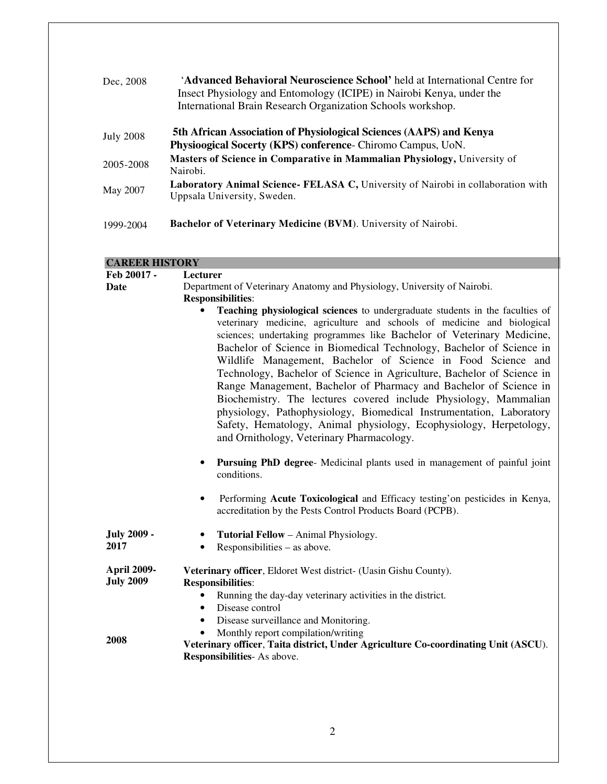| Dec, 2008        | <b>'Advanced Behavioral Neuroscience School'</b> held at International Centre for<br>Insect Physiology and Entomology (ICIPE) in Nairobi Kenya, under the<br>International Brain Research Organization Schools workshop. |
|------------------|--------------------------------------------------------------------------------------------------------------------------------------------------------------------------------------------------------------------------|
| <b>July 2008</b> | 5th African Association of Physiological Sciences (AAPS) and Kenya<br>Physioogical Socerty (KPS) conference- Chiromo Campus, UoN.                                                                                        |
| 2005-2008        | Masters of Science in Comparative in Mammalian Physiology, University of<br>Nairobi.                                                                                                                                     |
| May 2007         | Laboratory Animal Science- FELASA C, University of Nairobi in collaboration with<br>Uppsala University, Sweden.                                                                                                          |
| 1999-2004        | Bachelor of Veterinary Medicine (BVM). University of Nairobi.                                                                                                                                                            |

# **CAREER HISTORY**

| Feb 20017 -                            | <b>Lecturer</b>                                                                                                                                                                                                                                                                                                                                                                                                                                                                                                                                                                                                                                                                                                                                                                         |
|----------------------------------------|-----------------------------------------------------------------------------------------------------------------------------------------------------------------------------------------------------------------------------------------------------------------------------------------------------------------------------------------------------------------------------------------------------------------------------------------------------------------------------------------------------------------------------------------------------------------------------------------------------------------------------------------------------------------------------------------------------------------------------------------------------------------------------------------|
| Date                                   | Department of Veterinary Anatomy and Physiology, University of Nairobi.                                                                                                                                                                                                                                                                                                                                                                                                                                                                                                                                                                                                                                                                                                                 |
|                                        | <b>Responsibilities:</b>                                                                                                                                                                                                                                                                                                                                                                                                                                                                                                                                                                                                                                                                                                                                                                |
|                                        | Teaching physiological sciences to undergraduate students in the faculties of<br>veterinary medicine, agriculture and schools of medicine and biological<br>sciences; undertaking programmes like Bachelor of Veterinary Medicine,<br>Bachelor of Science in Biomedical Technology, Bachelor of Science in<br>Wildlife Management, Bachelor of Science in Food Science and<br>Technology, Bachelor of Science in Agriculture, Bachelor of Science in<br>Range Management, Bachelor of Pharmacy and Bachelor of Science in<br>Biochemistry. The lectures covered include Physiology, Mammalian<br>physiology, Pathophysiology, Biomedical Instrumentation, Laboratory<br>Safety, Hematology, Animal physiology, Ecophysiology, Herpetology,<br>and Ornithology, Veterinary Pharmacology. |
|                                        | <b>Pursuing PhD degree-</b> Medicinal plants used in management of painful joint<br>conditions.                                                                                                                                                                                                                                                                                                                                                                                                                                                                                                                                                                                                                                                                                         |
|                                        | Performing Acute Toxicological and Efficacy testing'on pesticides in Kenya,<br>$\bullet$<br>accreditation by the Pests Control Products Board (PCPB).                                                                                                                                                                                                                                                                                                                                                                                                                                                                                                                                                                                                                                   |
| <b>July 2009 -</b>                     | Tutorial Fellow - Animal Physiology.                                                                                                                                                                                                                                                                                                                                                                                                                                                                                                                                                                                                                                                                                                                                                    |
| 2017                                   | Responsibilities – as above.<br>$\bullet$                                                                                                                                                                                                                                                                                                                                                                                                                                                                                                                                                                                                                                                                                                                                               |
|                                        |                                                                                                                                                                                                                                                                                                                                                                                                                                                                                                                                                                                                                                                                                                                                                                                         |
| <b>April 2009-</b><br><b>July 2009</b> | Veterinary officer, Eldoret West district- (Uasin Gishu County).<br><b>Responsibilities:</b>                                                                                                                                                                                                                                                                                                                                                                                                                                                                                                                                                                                                                                                                                            |
|                                        | Running the day-day veterinary activities in the district.                                                                                                                                                                                                                                                                                                                                                                                                                                                                                                                                                                                                                                                                                                                              |
|                                        | Disease control<br>٠                                                                                                                                                                                                                                                                                                                                                                                                                                                                                                                                                                                                                                                                                                                                                                    |
|                                        | Disease surveillance and Monitoring.<br>$\bullet$                                                                                                                                                                                                                                                                                                                                                                                                                                                                                                                                                                                                                                                                                                                                       |
|                                        | Monthly report compilation/writing                                                                                                                                                                                                                                                                                                                                                                                                                                                                                                                                                                                                                                                                                                                                                      |
| 2008                                   | Veterinary officer, Taita district, Under Agriculture Co-coordinating Unit (ASCU).<br>Responsibilities- As above.                                                                                                                                                                                                                                                                                                                                                                                                                                                                                                                                                                                                                                                                       |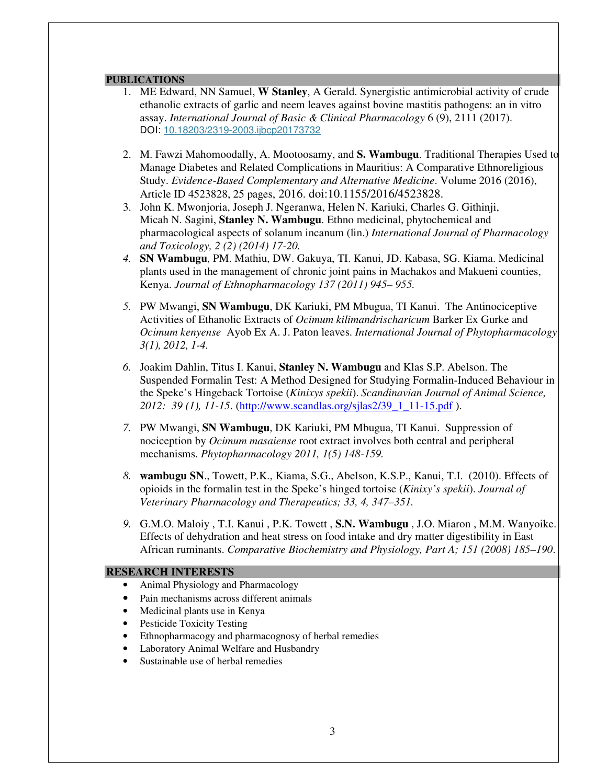#### **PUBLICATIONS**

- 1. ME Edward, NN Samuel, **W Stanley**, A Gerald. Synergistic antimicrobial activity of crude ethanolic extracts of garlic and neem leaves against bovine mastitis pathogens: an in vitro assay. *International Journal of Basic & Clinical Pharmacology* 6 (9), 2111 (2017). DOI: 10.18203/2319-2003.ijbcp20173732
- 2. M. Fawzi Mahomoodally, A. Mootoosamy, and **S. Wambugu**. Traditional Therapies Used to Manage Diabetes and Related Complications in Mauritius: A Comparative Ethnoreligious Study. *Evidence-Based Complementary and Alternative Medicine*. Volume 2016 (2016), Article ID 4523828, 25 pages, 2016. doi:10.1155/2016/4523828.
- 3. John K. Mwonjoria, Joseph J. Ngeranwa, Helen N. Kariuki, Charles G. Githinji, Micah N. Sagini, **Stanley N. Wambugu**. Ethno medicinal, phytochemical and pharmacological aspects of solanum incanum (lin.) *International Journal of Pharmacology and Toxicology, 2 (2) (2014) 17-20.*
- *4.* **SN Wambugu**, PM. Mathiu, DW. Gakuya, TI. Kanui, JD. Kabasa, SG. Kiama. Medicinal plants used in the management of chronic joint pains in Machakos and Makueni counties, Kenya. *Journal of Ethnopharmacology 137 (2011) 945– 955.*
- *5.* PW Mwangi, **SN Wambugu**, DK Kariuki, PM Mbugua, TI Kanui. The Antinociceptive Activities of Ethanolic Extracts of *Ocimum kilimandrischaricum* Barker Ex Gurke and *Ocimum kenyense* Ayob Ex A. J. Paton leaves. *International Journal of Phytopharmacology 3(1), 2012, 1-4.*
- *6.* Joakim Dahlin, Titus I. Kanui, **Stanley N. Wambugu** and Klas S.P. Abelson. The Suspended Formalin Test: A Method Designed for Studying Formalin-Induced Behaviour in the Speke's Hingeback Tortoise (*Kinixys spekii*). *Scandinavian Journal of Animal Science, 2012: 39 (1), 11-15*. (http://www.scandlas.org/sjlas2/39\_1\_11-15.pdf ).
- *7.* PW Mwangi, **SN Wambugu**, DK Kariuki, PM Mbugua, TI Kanui. Suppression of nociception by *Ocimum masaiense* root extract involves both central and peripheral mechanisms. *Phytopharmacology 2011, 1(5) 148-159.*
- *8.* **wambugu SN**., Towett, P.K., Kiama, S.G., Abelson, K.S.P., Kanui, T.I. (2010). Effects of opioids in the formalin test in the Speke's hinged tortoise (*Kinixy's spekii*). *Journal of Veterinary Pharmacology and Therapeutics; 33, 4, 347–351.*
- *9.* G.M.O. Maloiy , T.I. Kanui , P.K. Towett , **S.N. Wambugu** , J.O. Miaron , M.M. Wanyoike. Effects of dehydration and heat stress on food intake and dry matter digestibility in East African ruminants. *Comparative Biochemistry and Physiology, Part A; 151 (2008) 185–190*.

#### **RESEARCH INTERESTS**

- Animal Physiology and Pharmacology
- Pain mechanisms across different animals
- Medicinal plants use in Kenya
- Pesticide Toxicity Testing
- Ethnopharmacogy and pharmacognosy of herbal remedies
- Laboratory Animal Welfare and Husbandry
- Sustainable use of herbal remedies